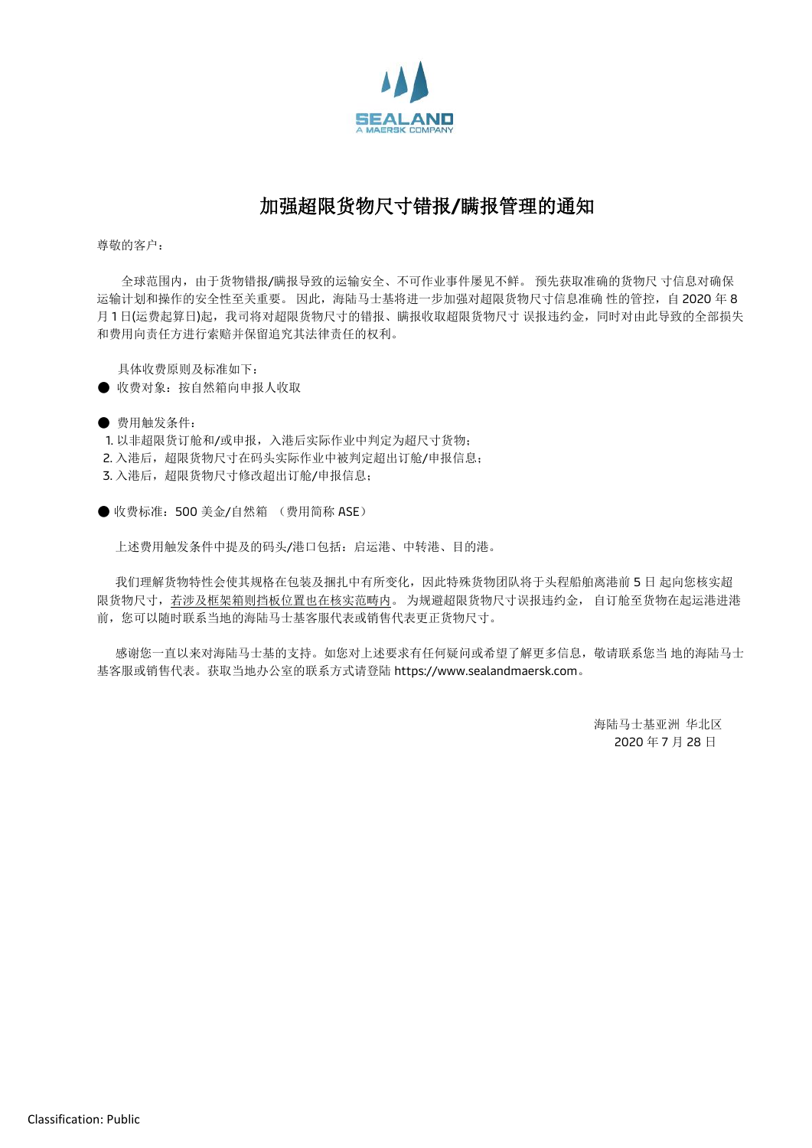

## 加强超限货物尺寸错报**/**瞒报管理的通知

尊敬的客户:

全球范围内,由于货物错报/瞒报导致的运输安全、不可作业事件屡见不鲜。 预先获取准确的货物尺 寸信息对确保 运输计划和操作的安全性至关重要。因此,海陆马士基将进一步加强对超限货物尺寸信息准确 性的管控,自 2020 年 8 月1日(运费起算日)起,我司将对超限货物尺寸的错报、瞒报收取超限货物尺寸 误报违约金,同时对由此导致的全部损失 和费用向责任方进行索赔并保留追究其法律责任的权利。

具体收费原则及标准如下:

- 收费对象: 按自然箱向申报人收取
- 费用触发条件:
- 1. 以非超限货订舱和/或申报,入港后实际作业中判定为超尺寸货物;
- 2. 入港后,超限股物尺寸在码头实际作业中被判定超出订舱/申报信息;
- 3. 入港后,超限货物尺寸修改超出订舱/申报信息;

● 收费标准: 500 美金/自然箱 (费用简称 ASE)

上述费用触发条件中提及的码头/港口包括:启运港、中转港、目的港。

我们理解货物特性会使其规格在包装及捆扎中有所变化,因此特殊货物团队将于头程船舶离港前 5 日 起向您核实超 限货物尺寸,若涉及框架箱则挡板位置也在核实范畴内。 为规避超限货物尺寸误报违约金, 自订舱至货物在起运港进港 前,您可以随时联系当地的海陆马士基客服代表或销售代表更正货物尺寸。

感谢您一直以来对海陆马士基的支持。如您对上述要求有任何疑问或希望了解更多信息,敬请联系您当 地的海陆马士 基客服或销售代表。获取当地办公室的联系方式请登陆 https://www.sealandmaersk.com。

> 海陆马士基亚洲 华北区 2020 年 7 月 28 日